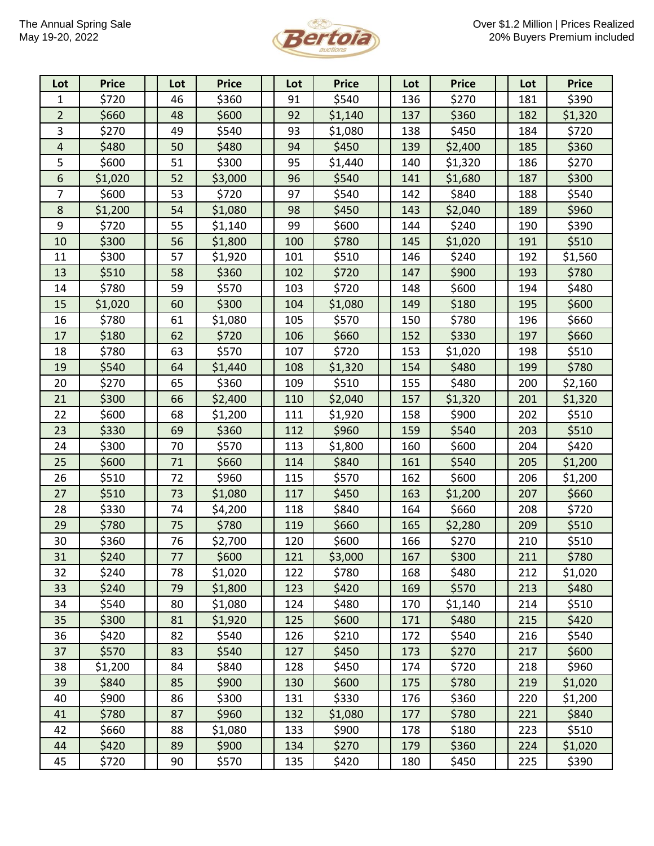

| Lot            | <b>Price</b> | Lot | <b>Price</b> | Lot | <b>Price</b> | Lot | <b>Price</b> | Lot | <b>Price</b> |
|----------------|--------------|-----|--------------|-----|--------------|-----|--------------|-----|--------------|
| 1              | \$720        | 46  | \$360        | 91  | \$540        | 136 | \$270        | 181 | \$390        |
| $\overline{2}$ | \$660        | 48  | \$600        | 92  | \$1,140      | 137 | \$360        | 182 | \$1,320      |
| 3              | \$270        | 49  | \$540        | 93  | \$1,080      | 138 | \$450        | 184 | \$720        |
| 4              | \$480        | 50  | \$480        | 94  | \$450        | 139 | \$2,400      | 185 | \$360        |
| 5              | \$600        | 51  | \$300        | 95  | \$1,440      | 140 | \$1,320      | 186 | \$270        |
| 6              | \$1,020      | 52  | \$3,000      | 96  | \$540        | 141 | \$1,680      | 187 | \$300        |
| $\overline{7}$ | \$600        | 53  | \$720        | 97  | \$540        | 142 | \$840        | 188 | \$540        |
| 8              | \$1,200      | 54  | \$1,080      | 98  | \$450        | 143 | \$2,040      | 189 | \$960        |
| 9              | \$720        | 55  | \$1,140      | 99  | \$600        | 144 | \$240        | 190 | \$390        |
| 10             | \$300        | 56  | \$1,800      | 100 | \$780        | 145 | \$1,020      | 191 | \$510        |
| 11             | \$300        | 57  | \$1,920      | 101 | \$510        | 146 | \$240        | 192 | \$1,560      |
| 13             | \$510        | 58  | \$360        | 102 | \$720        | 147 | \$900        | 193 | \$780        |
| 14             | \$780        | 59  | \$570        | 103 | \$720        | 148 | \$600        | 194 | \$480        |
| 15             | \$1,020      | 60  | \$300        | 104 | \$1,080      | 149 | \$180        | 195 | \$600        |
| 16             | \$780        | 61  | \$1,080      | 105 | \$570        | 150 | \$780        | 196 | \$660        |
| 17             | \$180        | 62  | \$720        | 106 | \$660        | 152 | \$330        | 197 | \$660        |
| 18             | \$780        | 63  | \$570        | 107 | \$720        | 153 | \$1,020      | 198 | \$510        |
| 19             | \$540        | 64  | \$1,440      | 108 | \$1,320      | 154 | \$480        | 199 | \$780        |
| 20             | \$270        | 65  | \$360        | 109 | \$510        | 155 | \$480        | 200 | \$2,160      |
| 21             | \$300        | 66  | \$2,400      | 110 | \$2,040      | 157 | \$1,320      | 201 | \$1,320      |
| 22             | \$600        | 68  | \$1,200      | 111 | \$1,920      | 158 | \$900        | 202 | \$510        |
| 23             | \$330        | 69  | \$360        | 112 | \$960        | 159 | \$540        | 203 | \$510        |
| 24             | \$300        | 70  | \$570        | 113 | \$1,800      | 160 | \$600        | 204 | \$420        |
| 25             | \$600        | 71  | \$660        | 114 | \$840        | 161 | \$540        | 205 | \$1,200      |
| 26             | \$510        | 72  | \$960        | 115 | \$570        | 162 | \$600        | 206 | \$1,200      |
| 27             | \$510        | 73  | \$1,080      | 117 | \$450        | 163 | \$1,200      | 207 | \$660        |
| 28             | \$330        | 74  | \$4,200      | 118 | \$840        | 164 | \$660        | 208 | \$720        |
| 29             | \$780        | 75  | \$780        | 119 | \$660        | 165 | \$2,280      | 209 | \$510        |
| 30             | \$360        | 76  | \$2,700      | 120 | \$600        | 166 | \$270        | 210 | \$510        |
| 31             | \$240        | 77  | \$600        | 121 | \$3,000      | 167 | \$300        | 211 | \$780        |
| 32             | \$240        | 78  | \$1,020      | 122 | \$780        | 168 | \$480        | 212 | \$1,020      |
| 33             | \$240        | 79  | \$1,800      | 123 | \$420        | 169 | \$570        | 213 | \$480        |
| 34             | \$540        | 80  | \$1,080      | 124 | \$480        | 170 | \$1,140      | 214 | \$510        |
| 35             | \$300        | 81  | \$1,920      | 125 | \$600        | 171 | \$480        | 215 | \$420        |
| 36             | \$420        | 82  | \$540        | 126 | \$210        | 172 | \$540        | 216 | \$540        |
| 37             | \$570        | 83  | \$540        | 127 | \$450        | 173 | \$270        | 217 | \$600        |
| 38             | \$1,200      | 84  | \$840        | 128 | \$450        | 174 | \$720        | 218 | \$960        |
| 39             | \$840        | 85  | \$900        | 130 | \$600        | 175 | \$780        | 219 | \$1,020      |
| 40             | \$900        | 86  | \$300        | 131 | \$330        | 176 | \$360        | 220 | \$1,200      |
| 41             | \$780        | 87  | \$960        | 132 | \$1,080      | 177 | \$780        | 221 | \$840        |
| 42             | \$660        | 88  | \$1,080      | 133 | \$900        | 178 | \$180        | 223 | \$510        |
| 44             | \$420        | 89  | \$900        | 134 | \$270        | 179 | \$360        | 224 | \$1,020      |
| 45             | \$720        | 90  | \$570        | 135 | \$420        | 180 | \$450        | 225 | \$390        |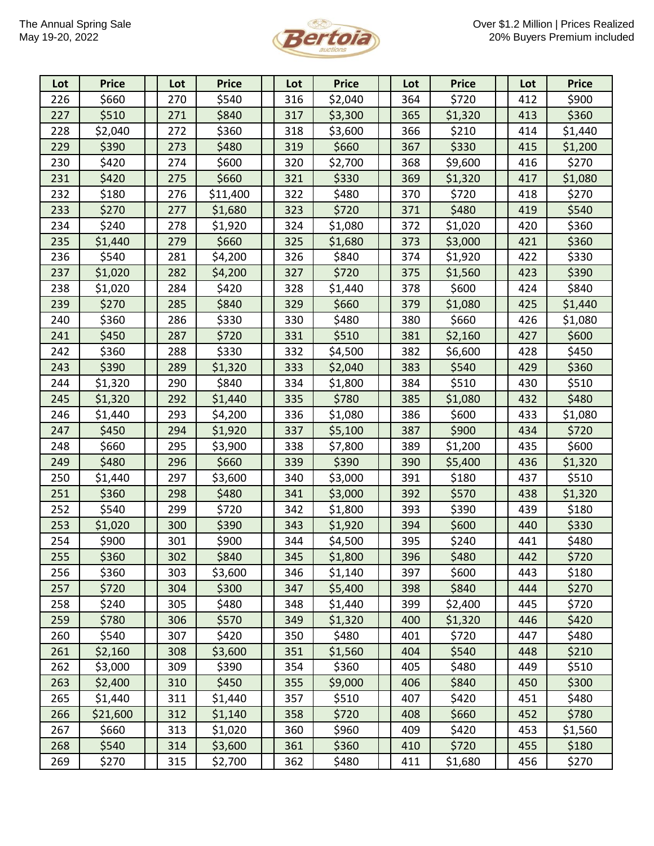

| Lot | <b>Price</b> | Lot | <b>Price</b> | Lot | <b>Price</b> | Lot | <b>Price</b> | Lot | <b>Price</b> |
|-----|--------------|-----|--------------|-----|--------------|-----|--------------|-----|--------------|
| 226 | \$660        | 270 | \$540        | 316 | \$2,040      | 364 | \$720        | 412 | \$900        |
| 227 | \$510        | 271 | \$840        | 317 | \$3,300      | 365 | \$1,320      | 413 | \$360        |
| 228 | \$2,040      | 272 | \$360        | 318 | \$3,600      | 366 | \$210        | 414 | \$1,440      |
| 229 | \$390        | 273 | \$480        | 319 | \$660        | 367 | \$330        | 415 | \$1,200      |
| 230 | \$420        | 274 | \$600        | 320 | \$2,700      | 368 | \$9,600      | 416 | \$270        |
| 231 | \$420        | 275 | \$660        | 321 | \$330        | 369 | \$1,320      | 417 | \$1,080      |
| 232 | \$180        | 276 | \$11,400     | 322 | \$480        | 370 | \$720        | 418 | \$270        |
| 233 | \$270        | 277 | \$1,680      | 323 | \$720        | 371 | \$480        | 419 | \$540        |
| 234 | \$240        | 278 | \$1,920      | 324 | \$1,080      | 372 | \$1,020      | 420 | \$360        |
| 235 | \$1,440      | 279 | \$660        | 325 | \$1,680      | 373 | \$3,000      | 421 | \$360        |
| 236 | \$540        | 281 | \$4,200      | 326 | \$840        | 374 | \$1,920      | 422 | \$330        |
| 237 | \$1,020      | 282 | \$4,200      | 327 | \$720        | 375 | \$1,560      | 423 | \$390        |
| 238 | \$1,020      | 284 | \$420        | 328 | \$1,440      | 378 | \$600        | 424 | \$840        |
| 239 | \$270        | 285 | \$840        | 329 | \$660        | 379 | \$1,080      | 425 | \$1,440      |
| 240 | \$360        | 286 | \$330        | 330 | \$480        | 380 | \$660        | 426 | \$1,080      |
| 241 | \$450        | 287 | \$720        | 331 | \$510        | 381 | \$2,160      | 427 | \$600        |
| 242 | \$360        | 288 | \$330        | 332 | \$4,500      | 382 | \$6,600      | 428 | \$450        |
| 243 | \$390        | 289 | \$1,320      | 333 | \$2,040      | 383 | \$540        | 429 | \$360        |
| 244 | \$1,320      | 290 | \$840        | 334 | \$1,800      | 384 | \$510        | 430 | \$510        |
| 245 | \$1,320      | 292 | \$1,440      | 335 | \$780        | 385 | \$1,080      | 432 | \$480        |
| 246 | \$1,440      | 293 | \$4,200      | 336 | \$1,080      | 386 | \$600        | 433 | \$1,080      |
| 247 | \$450        | 294 | \$1,920      | 337 | \$5,100      | 387 | \$900        | 434 | \$720        |
| 248 | \$660        | 295 | \$3,900      | 338 | \$7,800      | 389 | \$1,200      | 435 | \$600        |
| 249 | \$480        | 296 | \$660        | 339 | \$390        | 390 | \$5,400      | 436 | \$1,320      |
| 250 | \$1,440      | 297 | \$3,600      | 340 | \$3,000      | 391 | \$180        | 437 | \$510        |
| 251 | \$360        | 298 | \$480        | 341 | \$3,000      | 392 | \$570        | 438 | \$1,320      |
| 252 | \$540        | 299 | \$720        | 342 | \$1,800      | 393 | \$390        | 439 | \$180        |
| 253 | \$1,020      | 300 | \$390        | 343 | \$1,920      | 394 | \$600        | 440 | \$330        |
| 254 | \$900        | 301 | \$900        | 344 | \$4,500      | 395 | \$240        | 441 | \$480        |
| 255 | \$360        | 302 | \$840        | 345 | \$1,800      | 396 | \$480        | 442 | \$720        |
| 256 | \$360        | 303 | \$3,600      | 346 | \$1,140      | 397 | \$600        | 443 | \$180        |
| 257 | \$720        | 304 | \$300        | 347 | \$5,400      | 398 | \$840        | 444 | \$270        |
| 258 | \$240        | 305 | \$480        | 348 | \$1,440      | 399 | \$2,400      | 445 | \$720        |
| 259 | \$780        | 306 | \$570        | 349 | \$1,320      | 400 | \$1,320      | 446 | \$420        |
| 260 | \$540        | 307 | \$420        | 350 | \$480        | 401 | \$720        | 447 | \$480        |
| 261 | \$2,160      | 308 | \$3,600      | 351 | \$1,560      | 404 | \$540        | 448 | \$210        |
| 262 | \$3,000      | 309 | \$390        | 354 | \$360        | 405 | \$480        | 449 | \$510        |
| 263 | \$2,400      | 310 | \$450        | 355 | \$9,000      | 406 | \$840        | 450 | \$300        |
| 265 | \$1,440      | 311 | \$1,440      | 357 | \$510        | 407 | \$420        | 451 | \$480        |
| 266 | \$21,600     | 312 | \$1,140      | 358 | \$720        | 408 | \$660        | 452 | \$780        |
| 267 | \$660        | 313 | \$1,020      | 360 | \$960        | 409 | \$420        | 453 | \$1,560      |
| 268 | \$540        | 314 | \$3,600      | 361 | \$360        | 410 | \$720        | 455 | \$180        |
| 269 | \$270        | 315 | \$2,700      | 362 | \$480        | 411 | \$1,680      | 456 | \$270        |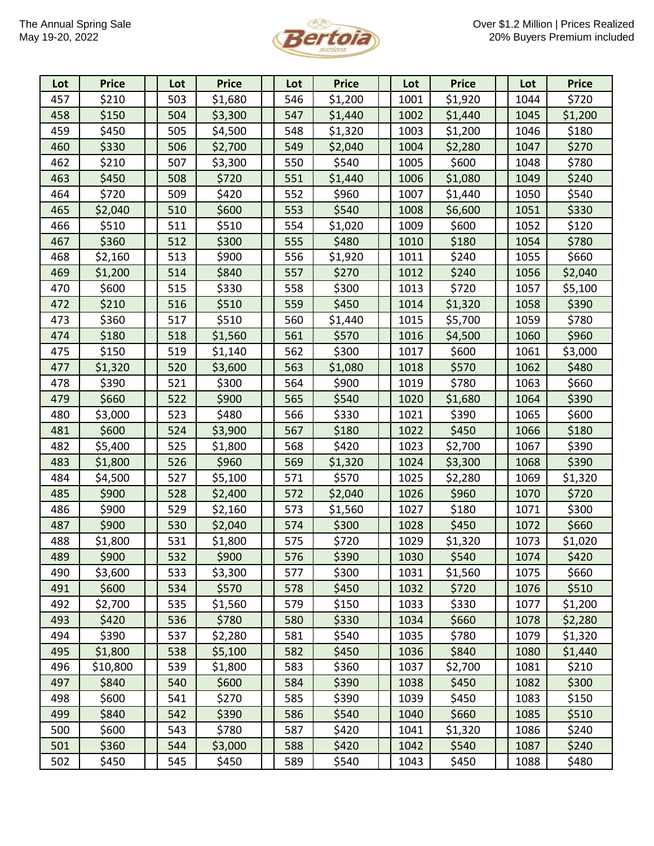

| Lot | <b>Price</b> | Lot | <b>Price</b> | Lot | <b>Price</b> | Lot  | <b>Price</b> | Lot  | <b>Price</b> |
|-----|--------------|-----|--------------|-----|--------------|------|--------------|------|--------------|
| 457 | \$210        | 503 | \$1,680      | 546 | \$1,200      | 1001 | \$1,920      | 1044 | \$720        |
| 458 | \$150        | 504 | \$3,300      | 547 | \$1,440      | 1002 | \$1,440      | 1045 | \$1,200      |
| 459 | \$450        | 505 | \$4,500      | 548 | \$1,320      | 1003 | \$1,200      | 1046 | \$180        |
| 460 | \$330        | 506 | \$2,700      | 549 | \$2,040      | 1004 | \$2,280      | 1047 | \$270        |
| 462 | \$210        | 507 | \$3,300      | 550 | \$540        | 1005 | \$600        | 1048 | \$780        |
| 463 | \$450        | 508 | \$720        | 551 | \$1,440      | 1006 | \$1,080      | 1049 | \$240        |
| 464 | \$720        | 509 | \$420        | 552 | \$960        | 1007 | \$1,440      | 1050 | \$540        |
| 465 | \$2,040      | 510 | \$600        | 553 | \$540        | 1008 | \$6,600      | 1051 | \$330        |
| 466 | \$510        | 511 | \$510        | 554 | \$1,020      | 1009 | \$600        | 1052 | \$120        |
| 467 | \$360        | 512 | \$300        | 555 | \$480        | 1010 | \$180        | 1054 | \$780        |
| 468 | \$2,160      | 513 | \$900        | 556 | \$1,920      | 1011 | \$240        | 1055 | \$660        |
| 469 | \$1,200      | 514 | \$840        | 557 | \$270        | 1012 | \$240        | 1056 | \$2,040      |
| 470 | \$600        | 515 | \$330        | 558 | \$300        | 1013 | \$720        | 1057 | \$5,100      |
| 472 | \$210        | 516 | \$510        | 559 | \$450        | 1014 | \$1,320      | 1058 | \$390        |
| 473 | \$360        | 517 | \$510        | 560 | \$1,440      | 1015 | \$5,700      | 1059 | \$780        |
| 474 | \$180        | 518 | \$1,560      | 561 | \$570        | 1016 | \$4,500      | 1060 | \$960        |
| 475 | \$150        | 519 | \$1,140      | 562 | \$300        | 1017 | \$600        | 1061 | \$3,000      |
| 477 | \$1,320      | 520 | \$3,600      | 563 | \$1,080      | 1018 | \$570        | 1062 | \$480        |
| 478 | \$390        | 521 | \$300        | 564 | \$900        | 1019 | \$780        | 1063 | \$660        |
| 479 | \$660        | 522 | \$900        | 565 | \$540        | 1020 | \$1,680      | 1064 | \$390        |
| 480 | \$3,000      | 523 | \$480        | 566 | \$330        | 1021 | \$390        | 1065 | \$600        |
| 481 | \$600        | 524 | \$3,900      | 567 | \$180        | 1022 | \$450        | 1066 | \$180        |
| 482 | \$5,400      | 525 | \$1,800      | 568 | \$420        | 1023 | \$2,700      | 1067 | \$390        |
| 483 | \$1,800      | 526 | \$960        | 569 | \$1,320      | 1024 | \$3,300      | 1068 | \$390        |
| 484 | \$4,500      | 527 | \$5,100      | 571 | \$570        | 1025 | \$2,280      | 1069 | \$1,320      |
| 485 | \$900        | 528 | \$2,400      | 572 | \$2,040      | 1026 | \$960        | 1070 | \$720        |
| 486 | \$900        | 529 | \$2,160      | 573 | \$1,560      | 1027 | \$180        | 1071 | \$300        |
| 487 | \$900        | 530 | \$2,040      | 574 | \$300        | 1028 | \$450        | 1072 | \$660        |
| 488 | \$1,800      | 531 | \$1,800      | 575 | \$720        | 1029 | \$1,320      | 1073 | \$1,020      |
| 489 | \$900        | 532 | \$900        | 576 | \$390        | 1030 | \$540        | 1074 | \$420        |
| 490 | \$3,600      | 533 | \$3,300      | 577 | \$300        | 1031 | \$1,560      | 1075 | \$660        |
| 491 | \$600        | 534 | \$570        | 578 | \$450        | 1032 | \$720        | 1076 | \$510        |
| 492 | \$2,700      | 535 | \$1,560      | 579 | \$150        | 1033 | \$330        | 1077 | \$1,200      |
| 493 | \$420        | 536 | \$780        | 580 | \$330        | 1034 | \$660        | 1078 | \$2,280      |
| 494 | \$390        | 537 | \$2,280      | 581 | \$540        | 1035 | \$780        | 1079 | \$1,320      |
| 495 | \$1,800      | 538 | \$5,100      | 582 | \$450        | 1036 | \$840        | 1080 | \$1,440      |
| 496 | \$10,800     | 539 | \$1,800      | 583 | \$360        | 1037 | \$2,700      | 1081 | \$210        |
| 497 | \$840        | 540 | \$600        | 584 | \$390        | 1038 | \$450        | 1082 | \$300        |
| 498 | \$600        | 541 | \$270        | 585 | \$390        | 1039 | \$450        | 1083 | \$150        |
| 499 | \$840        | 542 | \$390        | 586 | \$540        | 1040 | \$660        | 1085 | \$510        |
| 500 | \$600        | 543 | \$780        | 587 | \$420        | 1041 | \$1,320      | 1086 | \$240        |
| 501 | \$360        | 544 | \$3,000      | 588 | \$420        | 1042 | \$540        | 1087 | \$240        |
| 502 | \$450        | 545 | \$450        | 589 | \$540        | 1043 | \$450        | 1088 | \$480        |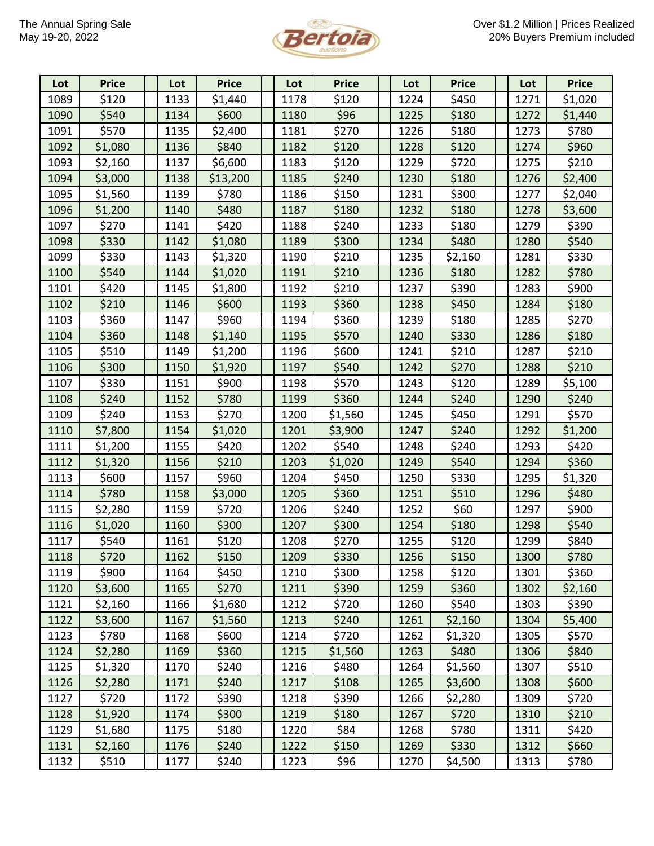

| Lot  | <b>Price</b> | Lot  | <b>Price</b> | Lot  | <b>Price</b> | Lot  | <b>Price</b> | Lot  | <b>Price</b> |
|------|--------------|------|--------------|------|--------------|------|--------------|------|--------------|
| 1089 | \$120        | 1133 | \$1,440      | 1178 | \$120        | 1224 | \$450        | 1271 | \$1,020      |
| 1090 | \$540        | 1134 | \$600        | 1180 | \$96         | 1225 | \$180        | 1272 | \$1,440      |
| 1091 | \$570        | 1135 | \$2,400      | 1181 | \$270        | 1226 | \$180        | 1273 | \$780        |
| 1092 | \$1,080      | 1136 | \$840        | 1182 | \$120        | 1228 | \$120        | 1274 | \$960        |
| 1093 | \$2,160      | 1137 | \$6,600      | 1183 | \$120        | 1229 | \$720        | 1275 | \$210        |
| 1094 | \$3,000      | 1138 | \$13,200     | 1185 | \$240        | 1230 | \$180        | 1276 | \$2,400      |
| 1095 | \$1,560      | 1139 | \$780        | 1186 | \$150        | 1231 | \$300        | 1277 | \$2,040      |
| 1096 | \$1,200      | 1140 | \$480        | 1187 | \$180        | 1232 | \$180        | 1278 | \$3,600      |
| 1097 | \$270        | 1141 | \$420        | 1188 | \$240        | 1233 | \$180        | 1279 | \$390        |
| 1098 | \$330        | 1142 | \$1,080      | 1189 | \$300        | 1234 | \$480        | 1280 | \$540        |
| 1099 | \$330        | 1143 | \$1,320      | 1190 | \$210        | 1235 | \$2,160      | 1281 | \$330        |
| 1100 | \$540        | 1144 | \$1,020      | 1191 | \$210        | 1236 | \$180        | 1282 | \$780        |
| 1101 | \$420        | 1145 | \$1,800      | 1192 | \$210        | 1237 | \$390        | 1283 | \$900        |
| 1102 | \$210        | 1146 | \$600        | 1193 | \$360        | 1238 | \$450        | 1284 | \$180        |
| 1103 | \$360        | 1147 | \$960        | 1194 | \$360        | 1239 | \$180        | 1285 | \$270        |
| 1104 | \$360        | 1148 | \$1,140      | 1195 | \$570        | 1240 | \$330        | 1286 | \$180        |
| 1105 | \$510        | 1149 | \$1,200      | 1196 | \$600        | 1241 | \$210        | 1287 | \$210        |
| 1106 | \$300        | 1150 | \$1,920      | 1197 | \$540        | 1242 | \$270        | 1288 | \$210        |
| 1107 | \$330        | 1151 | \$900        | 1198 | \$570        | 1243 | \$120        | 1289 | \$5,100      |
| 1108 | \$240        | 1152 | \$780        | 1199 | \$360        | 1244 | \$240        | 1290 | \$240        |
| 1109 | \$240        | 1153 | \$270        | 1200 | \$1,560      | 1245 | \$450        | 1291 | \$570        |
| 1110 | \$7,800      | 1154 | \$1,020      | 1201 | \$3,900      | 1247 | \$240        | 1292 | \$1,200      |
| 1111 | \$1,200      | 1155 | \$420        | 1202 | \$540        | 1248 | \$240        | 1293 | \$420        |
| 1112 | \$1,320      | 1156 | \$210        | 1203 | \$1,020      | 1249 | \$540        | 1294 | \$360        |
| 1113 | \$600        | 1157 | \$960        | 1204 | \$450        | 1250 | \$330        | 1295 | \$1,320      |
| 1114 | \$780        | 1158 | \$3,000      | 1205 | \$360        | 1251 | \$510        | 1296 | \$480        |
| 1115 | \$2,280      | 1159 | \$720        | 1206 | \$240        | 1252 | \$60         | 1297 | \$900        |
| 1116 | \$1,020      | 1160 | \$300        | 1207 | \$300        | 1254 | \$180        | 1298 | \$540        |
| 1117 | \$540        | 1161 | \$120        | 1208 | \$270        | 1255 | \$120        | 1299 | \$840        |
| 1118 | \$720        | 1162 | \$150        | 1209 | \$330        | 1256 | \$150        | 1300 | \$780        |
| 1119 | \$900        | 1164 | \$450        | 1210 | \$300        | 1258 | \$120        | 1301 | \$360        |
| 1120 | \$3,600      | 1165 | \$270        | 1211 | \$390        | 1259 | \$360        | 1302 | \$2,160      |
| 1121 | \$2,160      | 1166 | \$1,680      | 1212 | \$720        | 1260 | \$540        | 1303 | \$390        |
| 1122 | \$3,600      | 1167 | \$1,560      | 1213 | \$240        | 1261 | \$2,160      | 1304 | \$5,400      |
| 1123 | \$780        | 1168 | \$600        | 1214 | \$720        | 1262 | \$1,320      | 1305 | \$570        |
| 1124 | \$2,280      | 1169 | \$360        | 1215 | \$1,560      | 1263 | \$480        | 1306 | \$840        |
| 1125 | \$1,320      | 1170 | \$240        | 1216 | \$480        | 1264 | \$1,560      | 1307 | \$510        |
| 1126 | \$2,280      | 1171 | \$240        | 1217 | \$108        | 1265 | \$3,600      | 1308 | \$600        |
| 1127 | \$720        | 1172 | \$390        | 1218 | \$390        | 1266 | \$2,280      | 1309 | \$720        |
| 1128 | \$1,920      | 1174 | \$300        | 1219 | \$180        | 1267 | \$720        | 1310 | \$210        |
| 1129 | \$1,680      | 1175 | \$180        | 1220 | \$84         | 1268 | \$780        | 1311 | \$420        |
| 1131 | \$2,160      | 1176 | \$240        | 1222 | \$150        | 1269 | \$330        | 1312 | \$660        |
| 1132 | \$510        | 1177 | \$240        | 1223 | \$96         | 1270 | \$4,500      | 1313 | \$780        |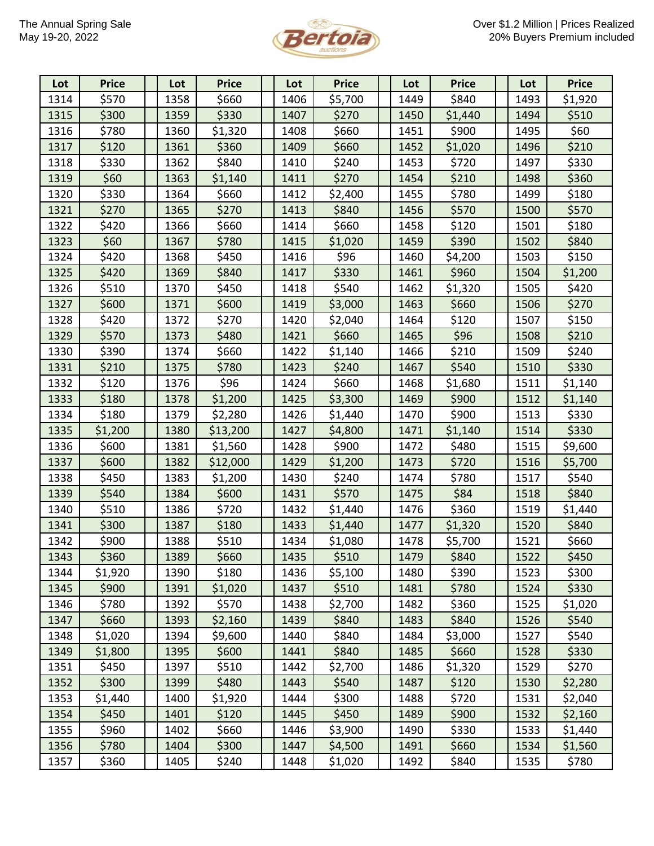

| Lot  | <b>Price</b> | Lot  | <b>Price</b> | Lot  | <b>Price</b> | Lot  | <b>Price</b> | Lot  | <b>Price</b> |
|------|--------------|------|--------------|------|--------------|------|--------------|------|--------------|
| 1314 | \$570        | 1358 | \$660        | 1406 | \$5,700      | 1449 | \$840        | 1493 | \$1,920      |
| 1315 | \$300        | 1359 | \$330        | 1407 | \$270        | 1450 | \$1,440      | 1494 | \$510        |
| 1316 | \$780        | 1360 | \$1,320      | 1408 | \$660        | 1451 | \$900        | 1495 | \$60         |
| 1317 | \$120        | 1361 | \$360        | 1409 | \$660        | 1452 | \$1,020      | 1496 | \$210        |
| 1318 | \$330        | 1362 | \$840        | 1410 | \$240        | 1453 | \$720        | 1497 | \$330        |
| 1319 | \$60         | 1363 | \$1,140      | 1411 | \$270        | 1454 | \$210        | 1498 | \$360        |
| 1320 | \$330        | 1364 | \$660        | 1412 | \$2,400      | 1455 | \$780        | 1499 | \$180        |
| 1321 | \$270        | 1365 | \$270        | 1413 | \$840        | 1456 | \$570        | 1500 | \$570        |
| 1322 | \$420        | 1366 | \$660        | 1414 | \$660        | 1458 | \$120        | 1501 | \$180        |
| 1323 | \$60         | 1367 | \$780        | 1415 | \$1,020      | 1459 | \$390        | 1502 | \$840        |
| 1324 | \$420        | 1368 | \$450        | 1416 | \$96         | 1460 | \$4,200      | 1503 | \$150        |
| 1325 | \$420        | 1369 | \$840        | 1417 | \$330        | 1461 | \$960        | 1504 | \$1,200      |
| 1326 | \$510        | 1370 | \$450        | 1418 | \$540        | 1462 | \$1,320      | 1505 | \$420        |
| 1327 | \$600        | 1371 | \$600        | 1419 | \$3,000      | 1463 | \$660        | 1506 | \$270        |
| 1328 | \$420        | 1372 | \$270        | 1420 | \$2,040      | 1464 | \$120        | 1507 | \$150        |
| 1329 | \$570        | 1373 | \$480        | 1421 | \$660        | 1465 | \$96         | 1508 | \$210        |
| 1330 | \$390        | 1374 | \$660        | 1422 | \$1,140      | 1466 | \$210        | 1509 | \$240        |
| 1331 | \$210        | 1375 | \$780        | 1423 | \$240        | 1467 | \$540        | 1510 | \$330        |
| 1332 | \$120        | 1376 | \$96         | 1424 | \$660        | 1468 | \$1,680      | 1511 | \$1,140      |
| 1333 | \$180        | 1378 | \$1,200      | 1425 | \$3,300      | 1469 | \$900        | 1512 | \$1,140      |
| 1334 | \$180        | 1379 | \$2,280      | 1426 | \$1,440      | 1470 | \$900        | 1513 | \$330        |
| 1335 | \$1,200      | 1380 | \$13,200     | 1427 | \$4,800      | 1471 | \$1,140      | 1514 | \$330        |
| 1336 | \$600        | 1381 | \$1,560      | 1428 | \$900        | 1472 | \$480        | 1515 | \$9,600      |
| 1337 | \$600        | 1382 | \$12,000     | 1429 | \$1,200      | 1473 | \$720        | 1516 | \$5,700      |
| 1338 | \$450        | 1383 | \$1,200      | 1430 | \$240        | 1474 | \$780        | 1517 | \$540        |
| 1339 | \$540        | 1384 | \$600        | 1431 | \$570        | 1475 | \$84         | 1518 | \$840        |
| 1340 | \$510        | 1386 | \$720        | 1432 | \$1,440      | 1476 | \$360        | 1519 | \$1,440      |
| 1341 | \$300        | 1387 | \$180        | 1433 | \$1,440      | 1477 | \$1,320      | 1520 | \$840        |
| 1342 | \$900        | 1388 | \$510        | 1434 | \$1,080      | 1478 | \$5,700      | 1521 | \$660        |
| 1343 | \$360        | 1389 | \$660        | 1435 | \$510        | 1479 | \$840        | 1522 | \$450        |
| 1344 | \$1,920      | 1390 | \$180        | 1436 | \$5,100      | 1480 | \$390        | 1523 | \$300        |
| 1345 | \$900        | 1391 | \$1,020      | 1437 | \$510        | 1481 | \$780        | 1524 | \$330        |
| 1346 | \$780        | 1392 | \$570        | 1438 | \$2,700      | 1482 | \$360        | 1525 | \$1,020      |
| 1347 | \$660        | 1393 | \$2,160      | 1439 | \$840        | 1483 | \$840        | 1526 | \$540        |
| 1348 | \$1,020      | 1394 | \$9,600      | 1440 | \$840        | 1484 | \$3,000      | 1527 | \$540        |
| 1349 | \$1,800      | 1395 | \$600        | 1441 | \$840        | 1485 | \$660        | 1528 | \$330        |
| 1351 | \$450        | 1397 | \$510        | 1442 | \$2,700      | 1486 | \$1,320      | 1529 | \$270        |
| 1352 | \$300        | 1399 | \$480        | 1443 | \$540        | 1487 | \$120        | 1530 | \$2,280      |
| 1353 | \$1,440      | 1400 | \$1,920      | 1444 | \$300        | 1488 | \$720        | 1531 | \$2,040      |
| 1354 | \$450        | 1401 | \$120        | 1445 | \$450        | 1489 | \$900        | 1532 | \$2,160      |
| 1355 | \$960        | 1402 | \$660        | 1446 | \$3,900      | 1490 | \$330        | 1533 | \$1,440      |
| 1356 | \$780        | 1404 | \$300        | 1447 | \$4,500      | 1491 | \$660        | 1534 | \$1,560      |
| 1357 | \$360        | 1405 | \$240        | 1448 | \$1,020      | 1492 | \$840        | 1535 | \$780        |